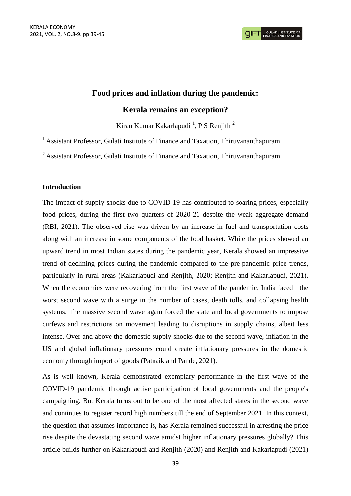# **Food prices and inflation during the pandemic:**

## **Kerala remains an exception?**

Kiran Kumar Kakarlapudi<sup>1</sup>, P S Renjith<sup>2</sup>

<sup>1</sup> Assistant Professor, Gulati Institute of Finance and Taxation, Thiruvananthapuram

<sup>2</sup> Assistant Professor, Gulati Institute of Finance and Taxation, Thiruvananthapuram

#### **Introduction**

The impact of supply shocks due to COVID 19 has contributed to soaring prices, especially food prices, during the first two quarters of 2020-21 despite the weak aggregate demand (RBI, 2021). The observed rise was driven by an increase in fuel and transportation costs along with an increase in some components of the food basket. While the prices showed an upward trend in most Indian states during the pandemic year, Kerala showed an impressive trend of declining prices during the pandemic compared to the pre-pandemic price trends, particularly in rural areas (Kakarlapudi and Renjith, 2020; Renjith and Kakarlapudi, 2021). When the economies were recovering from the first wave of the pandemic, India faced the worst second wave with a surge in the number of cases, death tolls, and collapsing health systems. The massive second wave again forced the state and local governments to impose curfews and restrictions on movement leading to disruptions in supply chains, albeit less intense. Over and above the domestic supply shocks due to the second wave, inflation in the US and global inflationary pressures could create inflationary pressures in the domestic economy through import of goods (Patnaik and Pande, 2021).

As is well known, Kerala demonstrated exemplary performance in the first wave of the COVID-19 pandemic through active participation of local governments and the people's campaigning. But Kerala turns out to be one of the most affected states in the second wave and continues to register record high numbers till the end of September 2021. In this context, the question that assumes importance is, has Kerala remained successful in arresting the price rise despite the devastating second wave amidst higher inflationary pressures globally? This article builds further on Kakarlapudi and Renjith (2020) and Renjith and Kakarlapudi (2021)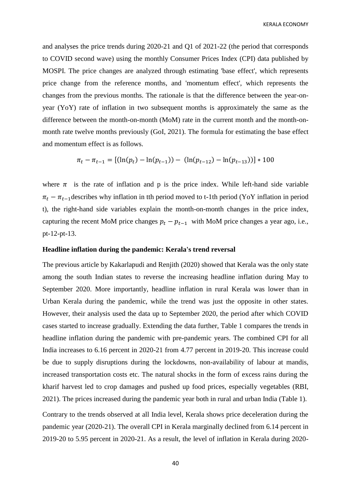and analyses the price trends during 2020-21 and Q1 of 2021-22 (the period that corresponds to COVID second wave) using the monthly Consumer Prices Index (CPI) data published by MOSPI. The price changes are analyzed through estimating 'base effect', which represents price change from the reference months, and 'momentum effect', which represents the changes from the previous months. The rationale is that the difference between the year-onyear (YoY) rate of inflation in two subsequent months is approximately the same as the difference between the month-on-month (MoM) rate in the current month and the month-onmonth rate twelve months previously (GoI, 2021). The formula for estimating the base effect and momentum effect is as follows.

$$
\pi_t - \pi_{t-1} = \left[ (\ln(p_t) - \ln(p_{t-1})) - (\ln(p_{t-12}) - \ln(p_{t-13})) \right] * 100
$$

where  $\pi$  is the rate of inflation and p is the price index. While left-hand side variable  $\pi_t - \pi_{t-1}$  describes why inflation in tth period moved to t-1th period (YoY inflation in period t), the right-hand side variables explain the month-on-month changes in the price index, capturing the recent MoM price changes  $p_t - p_{t-1}$  with MoM price changes a year ago, i.e., pt-12-pt-13.

#### **Headline inflation during the pandemic: Kerala's trend reversal**

The previous article by Kakarlapudi and Renjith (2020) showed that Kerala was the only state among the south Indian states to reverse the increasing headline inflation during May to September 2020. More importantly, headline inflation in rural Kerala was lower than in Urban Kerala during the pandemic, while the trend was just the opposite in other states. However, their analysis used the data up to September 2020, the period after which COVID cases started to increase gradually. Extending the data further, Table 1 compares the trends in headline inflation during the pandemic with pre-pandemic years. The combined CPI for all India increases to 6.16 percent in 2020-21 from 4.77 percent in 2019-20. This increase could be due to supply disruptions during the lockdowns, non-availability of labour at mandis, increased transportation costs etc. The natural shocks in the form of excess rains during the kharif harvest led to crop damages and pushed up food prices, especially vegetables (RBI, 2021). The prices increased during the pandemic year both in rural and urban India (Table 1).

Contrary to the trends observed at all India level, Kerala shows price deceleration during the pandemic year (2020-21). The overall CPI in Kerala marginally declined from 6.14 percent in 2019-20 to 5.95 percent in 2020-21. As a result, the level of inflation in Kerala during 2020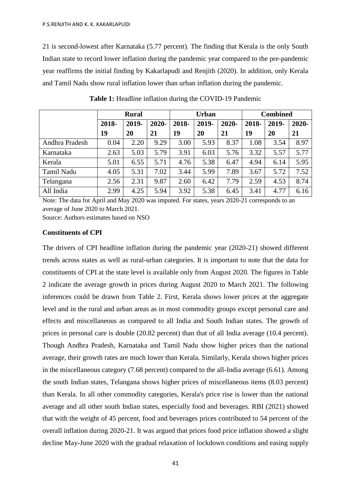21 is second-lowest after Karnataka (5.77 percent). The finding that Kerala is the only South Indian state to record lower inflation during the pandemic year compared to the pre-pandemic year reaffirms the initial finding by Kakarlapudi and Renjith (2020). In addition, only Kerala and Tamil Nadu show rural inflation lower than urban inflation during the pandemic.

|                | <b>Rural</b> |       |       | <b>Urban</b> |       |          | <b>Combined</b> |       |       |
|----------------|--------------|-------|-------|--------------|-------|----------|-----------------|-------|-------|
|                | 2018-        | 2019- | 2020- | 2018-        | 2019- | $2020 -$ | 2018-           | 2019- | 2020- |
|                | 19           | 20    | 21    | 19           | 20    | 21       | 19              | 20    | 21    |
| Andhra Pradesh | 0.04         | 2.20  | 9.29  | 3.00         | 5.93  | 8.37     | 1.08            | 3.54  | 8.97  |
| Karnataka      | 2.63         | 5.03  | 5.79  | 3.91         | 6.03  | 5.76     | 3.32            | 5.57  | 5.77  |
| Kerala         | 5.01         | 6.55  | 5.71  | 4.76         | 5.38  | 6.47     | 4.94            | 6.14  | 5.95  |
| Tamil Nadu     | 4.05         | 5.31  | 7.02  | 3.44         | 5.99  | 7.89     | 3.67            | 5.72  | 7.52  |
| Telangana      | 2.56         | 2.31  | 9.87  | 2.60         | 6.42  | 7.79     | 2.59            | 4.53  | 8.74  |
| All India      | 2.99         | 4.25  | 5.94  | 3.92         | 5.38  | 6.45     | 3.41            | 4.77  | 6.16  |

**Table 1:** Headline inflation during the COVID-19 Pandemic

Note: The data for April and May 2020 was imputed. For states, years 2020-21 corresponds to an average of June 2020 to March 2021.

Source: Authors estimates based on NSO

#### **Constituents of CPI**

The drivers of CPI headline inflation during the pandemic year (2020-21) showed different trends across states as well as rural-urban categories. It is important to note that the data for constituents of CPI at the state level is available only from August 2020. The figures in Table 2 indicate the average growth in prices during August 2020 to March 2021. The following inferences could be drawn from Table 2. First, Kerala shows lower prices at the aggregate level and in the rural and urban areas as in most commodity groups except personal care and effects and miscellaneous as compared to all India and South Indian states. The growth of prices in personal care is double (20.82 percent) than that of all India average (10.4 percent). Though Andhra Pradesh, Karnataka and Tamil Nadu show higher prices than the national average, their growth rates are much lower than Kerala. Similarly, Kerala shows higher prices in the miscellaneous category (7.68 percent) compared to the all-India average (6.61). Among the south Indian states, Telangana shows higher prices of miscellaneous items (8.03 percent) than Kerala. In all other commodity categories, Kerala's price rise is lower than the national average and all other south Indian states, especially food and beverages. RBI (2021) showed that with the weight of 45 percent, food and beverages prices contributed to 54 percent of the overall inflation during 2020-21. It was argued that prices food price inflation showed a slight decline May-June 2020 with the gradual relaxation of lockdown conditions and easing supply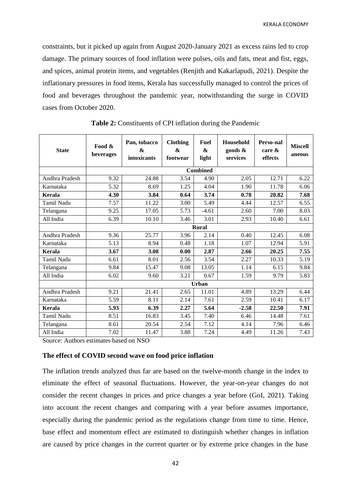constraints, but it picked up again from August 2020-January 2021 as excess rains led to crop damage. The primary sources of food inflation were pulses, oils and fats, meat and fist, eggs, and spices, animal protein items, and vegetables (Renjith and Kakarlapudi, 2021). Despite the inflationary pressures in food items, Kerala has successfully managed to control the prices of food and beverages throughout the pandemic year, notwithstanding the surge in COVID cases from October 2020.

| <b>State</b>      | Food &<br>beverages | Pan, tobacco<br>&<br>intoxicants | <b>Clothing</b><br><b>&amp;</b><br>footwear | <b>Fuel</b><br>&<br>light | Household<br>goods &<br>services | Perso-nal<br>care $\&$<br>effects | <b>Miscell</b><br>aneous |  |  |
|-------------------|---------------------|----------------------------------|---------------------------------------------|---------------------------|----------------------------------|-----------------------------------|--------------------------|--|--|
|                   | <b>Combined</b>     |                                  |                                             |                           |                                  |                                   |                          |  |  |
| Andhra Pradesh    | 9.32                | 24.88                            | 3.54                                        | 4.90                      | 2.05                             | 12.71                             | 6.22                     |  |  |
| Karnataka         | 5.32                | 8.69                             | 1.25                                        | 4.04                      | 1.90                             | 11.78                             | 6.06                     |  |  |
| Kerala            | 4.30                | 3.84                             | 0.64                                        | 3.74                      | 0.78                             | 20.82                             | 7.68                     |  |  |
| <b>Tamil Nadu</b> | 7.57                | 11.22                            | 3.00                                        | 5.49                      | 4.44                             | 12.57                             | 6.55                     |  |  |
| Telangana         | 9.25                | 17.05                            | 5.73                                        | $-4.61$                   | 2.60                             | 7.00                              | 8.03                     |  |  |
| All India         | 6.39                | 10.10                            | 3.46                                        | 3.01                      | 2.93                             | 10.40                             | 6.61                     |  |  |
|                   |                     |                                  |                                             | Rural                     |                                  |                                   |                          |  |  |
| Andhra Pradesh    | 9.36                | 25.77                            | 3.96                                        | 2.14                      | 0.40                             | 12.45                             | 6.08                     |  |  |
| Karnataka         | 5.13                | 8.94                             | 0.48                                        | 1.18                      | 1.07                             | 12.94                             | 5.91                     |  |  |
| <b>Kerala</b>     | 3.67                | 3.08                             | 0.00                                        | 2.87                      | 2.66                             | 20.25                             | 7.55                     |  |  |
| <b>Tamil Nadu</b> | 6.61                | 8.01                             | 2.56                                        | 3.54                      | 2.27                             | 10.33                             | 5.19                     |  |  |
| Telangana         | 9.84                | 15.47                            | 9.08                                        | 13.05                     | 1.14                             | 6.15                              | 9.84                     |  |  |
| All India         | 6.02                | 9.60                             | 3.21                                        | 0.67                      | 1.59                             | 9.79                              | 5.83                     |  |  |
|                   |                     | Urban                            |                                             |                           |                                  |                                   |                          |  |  |
| Andhra Pradesh    | 9.21                | 21.41                            | 2.65                                        | 11.01                     | 4.89                             | 13.29                             | 6.44                     |  |  |
| Karnataka         | 5.59                | 8.11                             | 2.14                                        | 7.61                      | 2.59                             | 10.41                             | 6.17                     |  |  |
| Kerala            | 5.93                | 6.39                             | 2.27                                        | 5.64                      | $-2.58$                          | 22.50                             | 7.91                     |  |  |
| Tamil Nadu        | 8.51                | 16.83                            | 3.45                                        | 7.40                      | 6.46                             | 14.48                             | 7.61                     |  |  |
| Telangana         | 8.61                | 20.54                            | 2.54                                        | 7.12                      | 4.14                             | 7.96                              | 6.46                     |  |  |
| All India         | 7.02                | 11.47                            | 3.88                                        | 7.24                      | 4.49                             | 11.26                             | 7.43                     |  |  |

**Table 2:** Constituents of CPI inflation during the Pandemic

Source: Authors estimates based on NSO

#### **The effect of COVID second wave on food price inflation**

The inflation trends analyzed thus far are based on the twelve-month change in the index to eliminate the effect of seasonal fluctuations. However, the year-on-year changes do not consider the recent changes in prices and price changes a year before (GoI, 2021). Taking into account the recent changes and comparing with a year before assumes importance, especially during the pandemic period as the regulations change from time to time. Hence, base effect and momentum effect are estimated to distinguish whether changes in inflation are caused by price changes in the current quarter or by extreme price changes in the base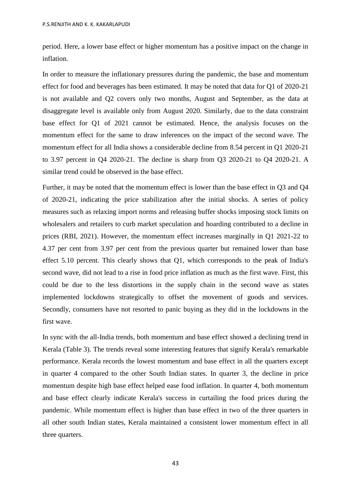period. Here, a lower base effect or higher momentum has a positive impact on the change in inflation.

In order to measure the inflationary pressures during the pandemic, the base and momentum effect for food and beverages has been estimated. It may be noted that data for Q1 of 2020-21 is not available and Q2 covers only two months, August and September, as the data at disaggregate level is available only from August 2020. Similarly, due to the data constraint base effect for Q1 of 2021 cannot be estimated. Hence, the analysis focuses on the momentum effect for the same to draw inferences on the impact of the second wave. The momentum effect for all India shows a considerable decline from 8.54 percent in Q1 2020-21 to 3.97 percent in Q4 2020-21. The decline is sharp from Q3 2020-21 to Q4 2020-21. A similar trend could be observed in the base effect.

Further, it may be noted that the momentum effect is lower than the base effect in Q3 and Q4 of 2020-21, indicating the price stabilization after the initial shocks. A series of policy measures such as relaxing import norms and releasing buffer shocks imposing stock limits on wholesalers and retailers to curb market speculation and hoarding contributed to a decline in prices (RBI, 2021). However, the momentum effect increases marginally in Q1 2021-22 to 4.37 per cent from 3.97 per cent from the previous quarter but remained lower than base effect 5.10 percent. This clearly shows that Q1, which corresponds to the peak of India's second wave, did not lead to a rise in food price inflation as much as the first wave. First, this could be due to the less distortions in the supply chain in the second wave as states implemented lockdowns strategically to offset the movement of goods and services. Secondly, consumers have not resorted to panic buying as they did in the lockdowns in the first wave.

In sync with the all-India trends, both momentum and base effect showed a declining trend in Kerala (Table 3). The trends reveal some interesting features that signify Kerala's remarkable performance. Kerala records the lowest momentum and base effect in all the quarters except in quarter 4 compared to the other South Indian states. In quarter 3, the decline in price momentum despite high base effect helped ease food inflation. In quarter 4, both momentum and base effect clearly indicate Kerala's success in curtailing the food prices during the pandemic. While momentum effect is higher than base effect in two of the three quarters in all other south Indian states, Kerala maintained a consistent lower momentum effect in all three quarters.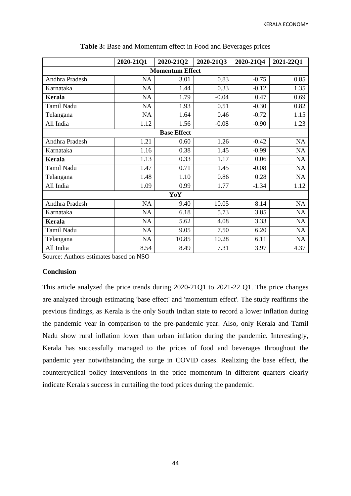|                        | 2020-2101 | 2020-21Q2 | 2020-2103 | 2020-2104 | 2021-2201 |  |  |  |
|------------------------|-----------|-----------|-----------|-----------|-----------|--|--|--|
| <b>Momentum Effect</b> |           |           |           |           |           |  |  |  |
| Andhra Pradesh         | NA        | 3.01      | 0.83      | $-0.75$   | 0.85      |  |  |  |
| Karnataka              | NA        | 1.44      | 0.33      | $-0.12$   | 1.35      |  |  |  |
| <b>Kerala</b>          | NA        | 1.79      | $-0.04$   | 0.47      | 0.69      |  |  |  |
| Tamil Nadu             | <b>NA</b> | 1.93      | 0.51      | $-0.30$   | 0.82      |  |  |  |
| Telangana              | <b>NA</b> | 1.64      | 0.46      | $-0.72$   | 1.15      |  |  |  |
| All India              | 1.12      | 1.56      | $-0.08$   | $-0.90$   | 1.23      |  |  |  |
| <b>Base Effect</b>     |           |           |           |           |           |  |  |  |
| Andhra Pradesh         | 1.21      | 0.60      | 1.26      | $-0.42$   | <b>NA</b> |  |  |  |
| Karnataka              | 1.16      | 0.38      | 1.45      | $-0.99$   | <b>NA</b> |  |  |  |
| <b>Kerala</b>          | 1.13      | 0.33      | 1.17      | 0.06      | <b>NA</b> |  |  |  |
| Tamil Nadu             | 1.47      | 0.71      | 1.45      | $-0.08$   | <b>NA</b> |  |  |  |
| Telangana              | 1.48      | 1.10      | 0.86      | 0.28      | NA        |  |  |  |
| All India              | 1.09      | 0.99      | 1.77      | $-1.34$   | 1.12      |  |  |  |
| YoY                    |           |           |           |           |           |  |  |  |
| Andhra Pradesh         | <b>NA</b> | 9.40      | 10.05     | 8.14      | NA        |  |  |  |
| Karnataka              | NA        | 6.18      | 5.73      | 3.85      | NA        |  |  |  |
| <b>Kerala</b>          | <b>NA</b> | 5.62      | 4.08      | 3.33      | <b>NA</b> |  |  |  |
| Tamil Nadu             | NA        | 9.05      | 7.50      | 6.20      | NA        |  |  |  |
| Telangana              | NA        | 10.85     | 10.28     | 6.11      | NA        |  |  |  |
| All India              | 8.54      | 8.49      | 7.31      | 3.97      | 4.37      |  |  |  |

| Table 3: Base and Momentum effect in Food and Beverages prices |  |  |  |
|----------------------------------------------------------------|--|--|--|
|                                                                |  |  |  |

Source: Authors estimates based on NSO

### **Conclusion**

This article analyzed the price trends during 2020-21Q1 to 2021-22 Q1. The price changes are analyzed through estimating 'base effect' and 'momentum effect'. The study reaffirms the previous findings, as Kerala is the only South Indian state to record a lower inflation during the pandemic year in comparison to the pre-pandemic year. Also, only Kerala and Tamil Nadu show rural inflation lower than urban inflation during the pandemic. Interestingly, Kerala has successfully managed to the prices of food and beverages throughout the pandemic year notwithstanding the surge in COVID cases. Realizing the base effect, the countercyclical policy interventions in the price momentum in different quarters clearly indicate Kerala's success in curtailing the food prices during the pandemic.